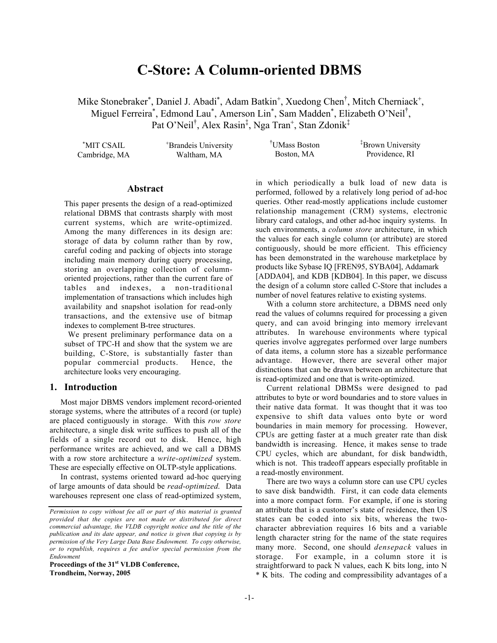# **C-Store: A Column-oriented DBMS**

Mike Stonebraker\*, Daniel J. Abadi\*, Adam Batkin<sup>+</sup>, Xuedong Chen<sup>†</sup>, Mitch Cherniack<sup>+</sup>, Miguel Ferreira\*, Edmond Lau\*, Amerson Lin\*, Sam Madden\*, Elizabeth O'Neil<sup>†</sup>, Pat O'Neil<sup>†</sup>, Alex Rasin<sup>‡</sup>, Nga Tran<sup>+</sup>, Stan Zdonik<sup>‡</sup>

 MIT CSAIL Cambridge, MA + Brandeis University Waltham, MA

| <sup>†</sup> UMass Boston | <sup>‡</sup> Brown University |
|---------------------------|-------------------------------|
| Boston, MA                | Providence, RI                |

#### **Abstract**

This paper presents the design of a read-optimized relational DBMS that contrasts sharply with most current systems, which are write-optimized. Among the many differences in its design are: storage of data by column rather than by row, careful coding and packing of objects into storage including main memory during query processing, storing an overlapping collection of columnoriented projections, rather than the current fare of tables and indexes, a non-traditional implementation of transactions which includes high availability and snapshot isolation for read-only transactions, and the extensive use of bitmap indexes to complement B-tree structures.

We present preliminary performance data on a subset of TPC-H and show that the system we are building, C-Store, is substantially faster than popular commercial products. Hence, the architecture looks very encouraging.

#### **1. Introduction**

Most major DBMS vendors implement record-oriented storage systems, where the attributes of a record (or tuple) are placed contiguously in storage. With this *row store* architecture, a single disk write suffices to push all of the fields of a single record out to disk. Hence, high performance writes are achieved, and we call a DBMS with a row store architecture a *write-optimized* system. These are especially effective on OLTP-style applications.

In contrast, systems oriented toward ad-hoc querying of large amounts of data should be *read-optimized*. Data warehouses represent one class of read-optimized system,

**Proceedings of the 31st VLDB Conference, Trondheim, Norway, 2005**

in which periodically a bulk load of new data is performed, followed by a relatively long period of ad-hoc queries. Other read-mostly applications include customer relationship management (CRM) systems, electronic library card catalogs, and other ad-hoc inquiry systems. In such environments, a *column store* architecture, in which the values for each single column (or attribute) are stored contiguously, should be more efficient. This efficiency has been demonstrated in the warehouse marketplace by products like Sybase IQ [FREN95, SYBA04], Addamark [ADDA04], and KDB [KDB04]. In this paper, we discuss the design of a column store called C-Store that includes a number of novel features relative to existing systems.

With a column store architecture, a DBMS need only read the values of columns required for processing a given query, and can avoid bringing into memory irrelevant attributes. In warehouse environments where typical queries involve aggregates performed over large numbers of data items, a column store has a sizeable performance advantage. However, there are several other major distinctions that can be drawn between an architecture that is read-optimized and one that is write-optimized.

Current relational DBMSs were designed to pad attributes to byte or word boundaries and to store values in their native data format. It was thought that it was too expensive to shift data values onto byte or word boundaries in main memory for processing. However, CPUs are getting faster at a much greater rate than disk bandwidth is increasing. Hence, it makes sense to trade CPU cycles, which are abundant, for disk bandwidth, which is not. This tradeoff appears especially profitable in a read-mostly environment.

There are two ways a column store can use CPU cycles to save disk bandwidth. First, it can code data elements into a more compact form. For example, if one is storing an attribute that is a customer's state of residence, then US states can be coded into six bits, whereas the twocharacter abbreviation requires 16 bits and a variable length character string for the name of the state requires many more. Second, one should *densepack* values in storage. For example, in a column store it is straightforward to pack N values, each K bits long, into N \* K bits. The coding and compressibility advantages of a

*Permission to copy without fee all or part of this material is granted provided that the copies are not made or distributed for direct commercial advantage, the VLDB copyright notice and the title of the publication and its date appear, and notice is given that copying is by permission of the Very Large Data Base Endowment. To copy otherwise, or to republish, requires a fee and/or special permission from the Endowment*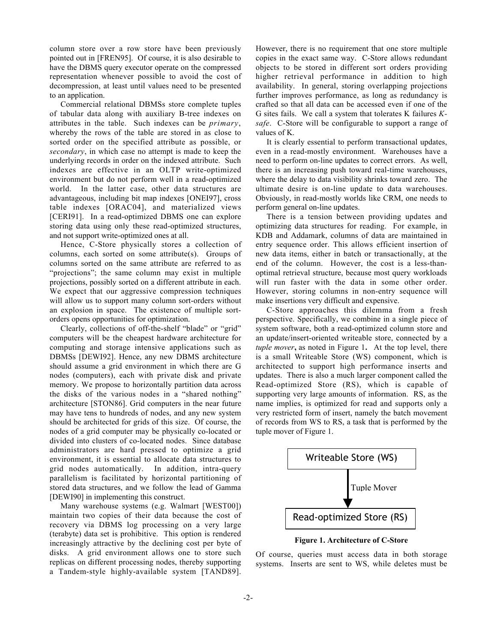column store over a row store have been previously pointed out in [FREN95]. Of course, it is also desirable to have the DBMS query executor operate on the compressed representation whenever possible to avoid the cost of decompression, at least until values need to be presented to an application.

Commercial relational DBMSs store complete tuples of tabular data along with auxiliary B-tree indexes on attributes in the table. Such indexes can be *primary*, whereby the rows of the table are stored in as close to sorted order on the specified attribute as possible, or *secondary*, in which case no attempt is made to keep the underlying records in order on the indexed attribute. Such indexes are effective in an OLTP write-optimized environment but do not perform well in a read-optimized world. In the latter case, other data structures are advantageous, including bit map indexes [ONEI97], cross table indexes [ORAC04], and materialized views [CERI91]. In a read-optimized DBMS one can explore storing data using only these read-optimized structures, and not support write-optimized ones at all.

Hence, C-Store physically stores a collection of columns, each sorted on some attribute(s). Groups of columns sorted on the same attribute are referred to as "projections"; the same column may exist in multiple projections, possibly sorted on a different attribute in each. We expect that our aggressive compression techniques will allow us to support many column sort-orders without an explosion in space. The existence of multiple sortorders opens opportunities for optimization.

Clearly, collections of off-the-shelf "blade" or "grid" computers will be the cheapest hardware architecture for computing and storage intensive applications such as DBMSs [DEWI92]. Hence, any new DBMS architecture should assume a grid environment in which there are G nodes (computers), each with private disk and private memory. We propose to horizontally partition data across the disks of the various nodes in a "shared nothing" architecture [STON86]. Grid computers in the near future may have tens to hundreds of nodes, and any new system should be architected for grids of this size. Of course, the nodes of a grid computer may be physically co-located or divided into clusters of co-located nodes. Since database administrators are hard pressed to optimize a grid environment, it is essential to allocate data structures to grid nodes automatically. In addition, intra-query parallelism is facilitated by horizontal partitioning of stored data structures, and we follow the lead of Gamma [DEWI90] in implementing this construct.

Many warehouse systems (e.g. Walmart [WEST00]) maintain two copies of their data because the cost of recovery via DBMS log processing on a very large (terabyte) data set is prohibitive. This option is rendered increasingly attractive by the declining cost per byte of disks. A grid environment allows one to store such replicas on different processing nodes, thereby supporting a Tandem-style highly-available system [TAND89].

However, there is no requirement that one store multiple copies in the exact same way. C-Store allows redundant objects to be stored in different sort orders providing higher retrieval performance in addition to high availability. In general, storing overlapping projections further improves performance, as long as redundancy is crafted so that all data can be accessed even if one of the G sites fails. We call a system that tolerates K failures *Ksafe*. C-Store will be configurable to support a range of values of K.

It is clearly essential to perform transactional updates, even in a read-mostly environment. Warehouses have a need to perform on-line updates to correct errors. As well, there is an increasing push toward real-time warehouses, where the delay to data visibility shrinks toward zero. The ultimate desire is on-line update to data warehouses. Obviously, in read-mostly worlds like CRM, one needs to perform general on-line updates.

There is a tension between providing updates and optimizing data structures for reading. For example, in KDB and Addamark, columns of data are maintained in entry sequence order. This allows efficient insertion of new data items, either in batch or transactionally, at the end of the column. However, the cost is a less-thanoptimal retrieval structure, because most query workloads will run faster with the data in some other order. However, storing columns in non-entry sequence will make insertions very difficult and expensive.

C-Store approaches this dilemma from a fresh perspective. Specifically, we combine in a single piece of system software, both a read-optimized column store and an update/insert-oriented writeable store, connected by a *tuple mover***,** as noted in Figure 1**.** At the top level, there is a small Writeable Store (WS) component, which is architected to support high performance inserts and updates. There is also a much larger component called the Read-optimized Store (RS), which is capable of supporting very large amounts of information. RS, as the name implies, is optimized for read and supports only a very restricted form of insert, namely the batch movement of records from WS to RS, a task that is performed by the tuple mover of Figure 1.



**Figure 1. Architecture of C-Store**

Of course, queries must access data in both storage systems. Inserts are sent to WS, while deletes must be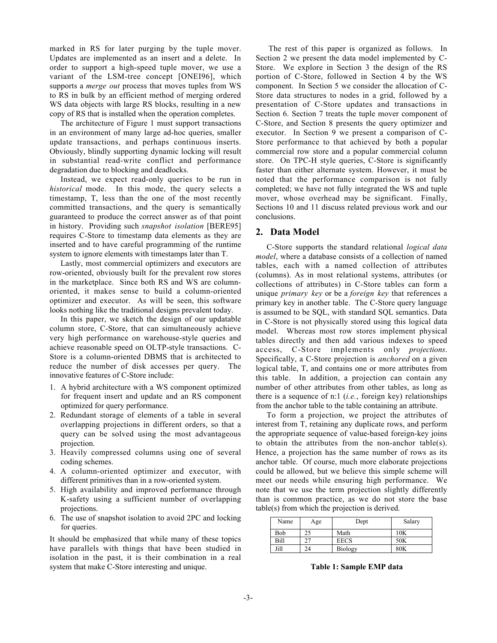marked in RS for later purging by the tuple mover. Updates are implemented as an insert and a delete. In order to support a high-speed tuple mover, we use a variant of the LSM-tree concept [ONEI96], which supports a *merge out* process that moves tuples from WS to RS in bulk by an efficient method of merging ordered WS data objects with large RS blocks, resulting in a new copy of RS that is installed when the operation completes.

The architecture of Figure 1 must support transactions in an environment of many large ad-hoc queries, smaller update transactions, and perhaps continuous inserts. Obviously, blindly supporting dynamic locking will result in substantial read-write conflict and performance degradation due to blocking and deadlocks.

Instead, we expect read-only queries to be run in *historical* mode. In this mode, the query selects a timestamp, T, less than the one of the most recently committed transactions, and the query is semantically guaranteed to produce the correct answer as of that point in history. Providing such *snapshot isolation* [BERE95] requires C-Store to timestamp data elements as they are inserted and to have careful programming of the runtime system to ignore elements with timestamps later than T.

Lastly, most commercial optimizers and executors are row-oriented, obviously built for the prevalent row stores in the marketplace. Since both RS and WS are columnoriented, it makes sense to build a column-oriented optimizer and executor. As will be seen, this software looks nothing like the traditional designs prevalent today.

In this paper, we sketch the design of our updatable column store, C-Store, that can simultaneously achieve very high performance on warehouse-style queries and achieve reasonable speed on OLTP-style transactions. C-Store is a column-oriented DBMS that is architected to reduce the number of disk accesses per query. The innovative features of C-Store include:

- 1. A hybrid architecture with a WS component optimized for frequent insert and update and an RS component optimized for query performance.
- 2. Redundant storage of elements of a table in several overlapping projections in different orders, so that a query can be solved using the most advantageous projection.
- 3. Heavily compressed columns using one of several coding schemes.
- 4. A column-oriented optimizer and executor, with different primitives than in a row-oriented system.
- 5. High availability and improved performance through K-safety using a sufficient number of overlapping projections.
- 6. The use of snapshot isolation to avoid 2PC and locking for queries.

It should be emphasized that while many of these topics have parallels with things that have been studied in isolation in the past, it is their combination in a real system that make C-Store interesting and unique.

The rest of this paper is organized as follows. In Section 2 we present the data model implemented by C-Store. We explore in Section 3 the design of the RS portion of C-Store, followed in Section 4 by the WS component. In Section 5 we consider the allocation of C-Store data structures to nodes in a grid, followed by a presentation of C-Store updates and transactions in Section 6. Section 7 treats the tuple mover component of C-Store, and Section 8 presents the query optimizer and executor. In Section 9 we present a comparison of C-Store performance to that achieved by both a popular commercial row store and a popular commercial column store. On TPC-H style queries, C-Store is significantly faster than either alternate system. However, it must be noted that the performance comparison is not fully completed; we have not fully integrated the WS and tuple mover, whose overhead may be significant. Finally, Sections 10 and 11 discuss related previous work and our conclusions.

## **2. Data Model**

C-Store supports the standard relational *logical data model*, where a database consists of a collection of named tables, each with a named collection of attributes (columns). As in most relational systems, attributes (or collections of attributes) in C-Store tables can form a unique *primary key* or be a *foreign key* that references a primary key in another table. The C-Store query language is assumed to be SQL, with standard SQL semantics. Data in C-Store is not physically stored using this logical data model. Whereas most row stores implement physical tables directly and then add various indexes to speed access, C-Store implements only *projections*. Specifically, a C-Store projection is *anchored* on a given logical table, T, and contains one or more attributes from this table. In addition, a projection can contain any number of other attributes from other tables, as long as there is a sequence of n:1 (*i.e.*, foreign key) relationships from the anchor table to the table containing an attribute.

To form a projection, we project the attributes of interest from T, retaining any duplicate rows, and perform the appropriate sequence of value-based foreign-key joins to obtain the attributes from the non-anchor table(s). Hence, a projection has the same number of rows as its anchor table. Of course, much more elaborate projections could be allowed, but we believe this simple scheme will meet our needs while ensuring high performance. We note that we use the term projection slightly differently than is common practice, as we do not store the base table(s) from which the projection is derived.

| Name | Age | Dept        | Salary |
|------|-----|-------------|--------|
| Bob  | 25  | Math        | 10K    |
| Bill | າາ  | <b>EECS</b> | 50K    |
| Jill | 24  | Biology     | 80K    |

**Table 1: Sample EMP data**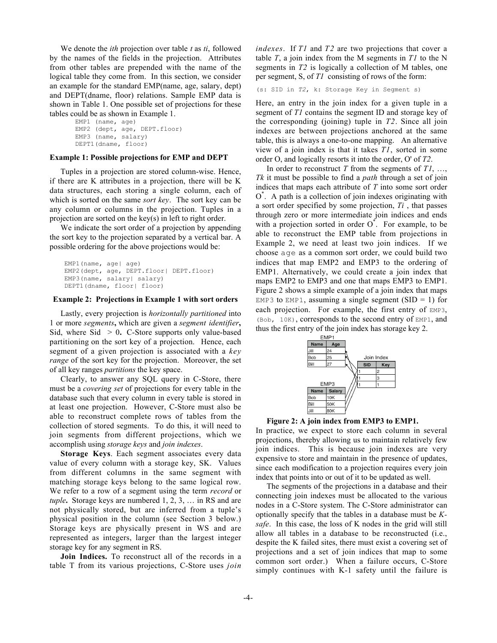We denote the *ith* projection over table *t* as *ti*, followed by the names of the fields in the projection. Attributes from other tables are prepended with the name of the logical table they come from. In this section, we consider an example for the standard EMP(name, age, salary, dept) and DEPT(dname, floor) relations. Sample EMP data is shown in Table 1. One possible set of projections for these tables could be as shown in Example 1.

```
EMP1 (name, age)
EMP2 (dept, age, DEPT.floor)
EMP3 (name, salary)
DEPT1(dname, floor)
```
#### **Example 1: Possible projections for EMP and DEPT**

Tuples in a projection are stored column-wise. Hence, if there are K attributes in a projection, there will be K data structures, each storing a single column, each of which is sorted on the same *sort key*. The sort key can be any column or columns in the projection. Tuples in a projection are sorted on the key(s) in left to right order.

We indicate the sort order of a projection by appending the sort key to the projection separated by a vertical bar. A possible ordering for the above projections would be:

```
EMP1(name, age| age)
EMP2(dept, age, DEPT.floor| DEPT.floor)
EMP3(name, salary| salary)
DEPT1(dname, floor| floor)
```
#### **Example 2: Projections in Example 1 with sort orders**

Lastly, every projection is *horizontally partitioned* into 1 or more *segments***,** which are given a *segment identifier***,** Sid, where Sid  $> 0$ . C-Store supports only value-based partitioning on the sort key of a projection.Hence, each segment of a given projection is associated with a *key range* of the sort key for the projection. Moreover, the set of all key ranges *partitions* the key space.

Clearly, to answer any SQL query in C-Store, there must be a *covering set* of projections for every table in the database such that every column in every table is stored in at least one projection. However, C-Store must also be able to reconstruct complete rows of tables from the collection of stored segments. To do this, it will need to join segments from different projections, which we accomplish using *storage keys* and *join indexes*.

**Storage Keys**. Each segment associates every data value of every column with a storage key, SK. Values from different columns in the same segment with matching storage keys belong to the same logical row. We refer to a row of a segment using the term *record* or *tuple***.** Storage keys are numbered 1, 2, 3, … in RS and are not physically stored, but are inferred from a tuple's physical position in the column (see Section 3 below.) Storage keys are physically present in WS and are represented as integers, larger than the largest integer storage key for any segment in RS.

**Join Indices.** To reconstruct all of the records in a table T from its various projections, C-Store uses *join*

*indexes*. If *T1* and *T2* are two projections that cover a table  $T$ , a join index from the M segments in  $T1$  to the N segments in *T2* is logically a collection of M tables, one per segment, S, of *T1* consisting of rows of the form:

(s: SID in *T2*, k: Storage Key in Segment s)

Here, an entry in the join index for a given tuple in a segment of *T1* contains the segment ID and storage key of the corresponding (joining) tuple in *T2*. Since all join indexes are between projections anchored at the same table, this is always a one-to-one mapping. An alternative view of a join index is that it takes *T1*, sorted in some order O, and logically resorts it into the order, O' of *T2*.

In order to reconstruct *T* from the segments of *T1*, …, *Tk* it must be possible to find a *path* through a set of join indices that maps each attribute of *T* into some sort order O\* . A path is a collection of join indexes originating with a sort order specified by some projection, *Ti* , that passes through zero or more intermediate join indices and ends with a projection sorted in order  $O^*$ . For example, to be able to reconstruct the EMP table from projections in Example 2, we need at least two join indices. If we choose age as a common sort order, we could build two indices that map EMP2 and EMP3 to the ordering of EMP1. Alternatively, we could create a join index that maps EMP2 to EMP3 and one that maps EMP3 to EMP1. Figure 2 shows a simple example of a join index that maps EMP3 to EMP1, assuming a single segment (SID = 1) for each projection. For example, the first entry of EMP3, (Bob, 10K), corresponds to the second entry of EMP1, and thus the first entry of the join index has storage key 2.



**Figure 2: A join index from EMP3 to EMP1.**

In practice, we expect to store each column in several projections, thereby allowing us to maintain relatively few join indices. This is because join indexes are very expensive to store and maintain in the presence of updates, since each modification to a projection requires every join index that points into or out of it to be updated as well.

The segments of the projections in a database and their connecting join indexes must be allocated to the various nodes in a C-Store system. The C-Store administrator can optionally specify that the tables in a database must be *Ksafe*. In this case, the loss of K nodes in the grid will still allow all tables in a database to be reconstructed (i.e., despite the K failed sites, there must exist a covering set of projections and a set of join indices that map to some common sort order.) When a failure occurs, C-Store simply continues with K-1 safety until the failure is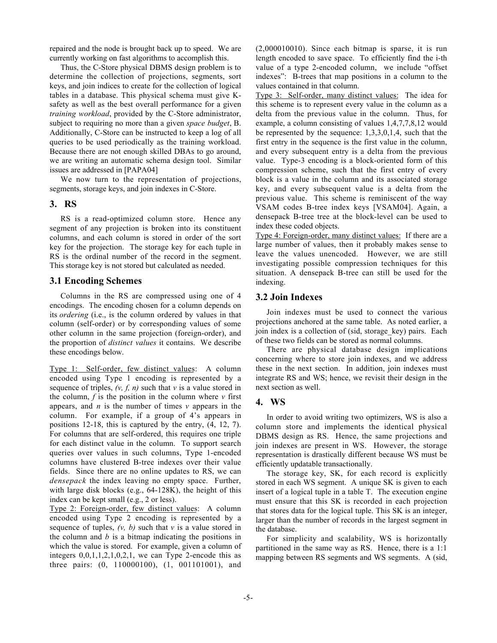repaired and the node is brought back up to speed. We are currently working on fast algorithms to accomplish this.

Thus, the C-Store physical DBMS design problem is to determine the collection of projections, segments, sort keys, and join indices to create for the collection of logical tables in a database. This physical schema must give Ksafety as well as the best overall performance for a given *training workload*, provided by the C-Store administrator, subject to requiring no more than a given *space budget*, B. Additionally, C-Store can be instructed to keep a log of all queries to be used periodically as the training workload. Because there are not enough skilled DBAs to go around, we are writing an automatic schema design tool. Similar issues are addressed in [PAPA04]

We now turn to the representation of projections, segments, storage keys, and join indexes in C-Store.

#### **3. RS**

RS is a read-optimized column store. Hence any segment of any projection is broken into its constituent columns, and each column is stored in order of the sort key for the projection. The storage key for each tuple in RS is the ordinal number of the record in the segment. This storage key is not stored but calculated as needed.

## **3.1 Encoding Schemes**

Columns in the RS are compressed using one of 4 encodings. The encoding chosen for a column depends on its *ordering* (i.e., is the column ordered by values in that column (self-order) or by corresponding values of some other column in the same projection (foreign-order), and the proportion of *distinct values* it contains. We describe these encodings below.

Type 1: Self-order, few distinct values: A column encoded using Type 1 encoding is represented by a sequence of triples,  $(v, f, n)$  such that  $v$  is a value stored in the column,  $f$  is the position in the column where  $v$  first appears, and *n* is the number of times *v* appears in the column. For example, if a group of 4's appears in positions 12-18, this is captured by the entry, (4, 12, 7). For columns that are self-ordered, this requires one triple for each distinct value in the column. To support search queries over values in such columns, Type 1-encoded columns have clustered B-tree indexes over their value fields. Since there are no online updates to RS, we can *densepack* the index leaving no empty space. Further, with large disk blocks (e.g., 64-128K), the height of this index can be kept small (e.g., 2 or less).

Type 2: Foreign-order, few distinct values: A column encoded using Type 2 encoding is represented by a sequence of tuples,  $(v, b)$  such that  $v$  is a value stored in the column and *b* is a bitmap indicating the positions in which the value is stored. For example, given a column of integers  $0,0,1,1,2,1,0,2,1$ , we can Type 2-encode this as three pairs: (0, 110000100), (1, 001101001), and

(2,000010010). Since each bitmap is sparse, it is run length encoded to save space. To efficiently find the i-th value of a type 2-encoded column, we include "offset indexes": B-trees that map positions in a column to the values contained in that column.

Type 3: Self-order, many distinct values: The idea for this scheme is to represent every value in the column as a delta from the previous value in the column. Thus, for example, a column consisting of values 1,4,7,7,8,12 would be represented by the sequence: 1,3,3,0,1,4, such that the first entry in the sequence is the first value in the column, and every subsequent entry is a delta from the previous value. Type-3 encoding is a block-oriented form of this compression scheme, such that the first entry of every block is a value in the column and its associated storage key, and every subsequent value is a delta from the previous value. This scheme is reminiscent of the way VSAM codes B-tree index keys [VSAM04]. Again, a densepack B-tree tree at the block-level can be used to index these coded objects.

Type 4: Foreign-order, many distinct values: If there are a large number of values, then it probably makes sense to leave the values unencoded. However, we are still investigating possible compression techniques for this situation. A densepack B-tree can still be used for the indexing.

#### **3.2 Join Indexes**

Join indexes must be used to connect the various projections anchored at the same table. As noted earlier, a join index is a collection of (sid, storage key) pairs. Each of these two fields can be stored as normal columns.

There are physical database design implications concerning where to store join indexes, and we address these in the next section. In addition, join indexes must integrate RS and WS; hence, we revisit their design in the next section as well.

# **4. WS**

In order to avoid writing two optimizers, WS is also a column store and implements the identical physical DBMS design as RS. Hence, the same projections and join indexes are present in WS. However, the storage representation is drastically different because WS must be efficiently updatable transactionally.

The storage key, SK, for each record is explicitly stored in each WS segment. A unique SK is given to each insert of a logical tuple in a table T. The execution engine must ensure that this SK is recorded in each projection that stores data for the logical tuple. This SK is an integer, larger than the number of records in the largest segment in the database.

For simplicity and scalability, WS is horizontally partitioned in the same way as RS. Hence, there is a 1:1 mapping between RS segments and WS segments. A (sid,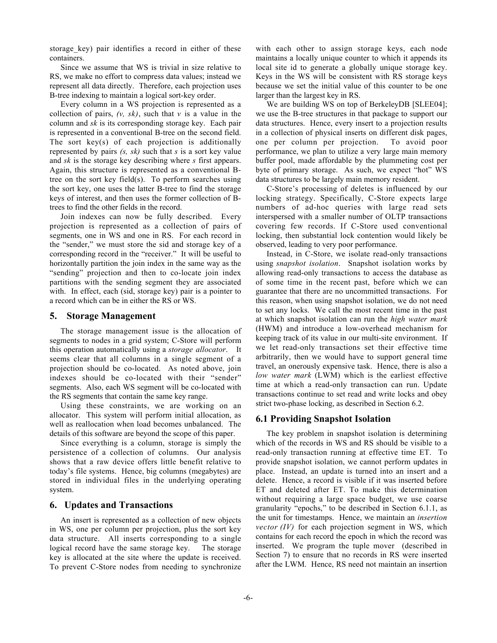storage key) pair identifies a record in either of these containers.

Since we assume that WS is trivial in size relative to RS, we make no effort to compress data values; instead we represent all data directly. Therefore, each projection uses B-tree indexing to maintain a logical sort-key order.

Every column in a WS projection is represented as a collection of pairs,  $(v, sk)$ , such that  $v$  is a value in the column and *sk* is its corresponding storage key. Each pair is represented in a conventional B-tree on the second field. The sort key(s) of each projection is additionally represented by pairs *(s, sk)* such that *s* is a sort key value and *sk* is the storage key describing where *s* first appears. Again, this structure is represented as a conventional Btree on the sort key field(s). To perform searches using the sort key, one uses the latter B-tree to find the storage keys of interest, and then uses the former collection of Btrees to find the other fields in the record.

Join indexes can now be fully described. Every projection is represented as a collection of pairs of segments, one in WS and one in RS. For each record in the "sender," we must store the sid and storage key of a corresponding record in the "receiver." It will be useful to horizontally partition the join index in the same way as the "sending" projection and then to co-locate join index partitions with the sending segment they are associated with. In effect, each (sid, storage key) pair is a pointer to a record which can be in either the RS or WS.

#### **5. Storage Management**

The storage management issue is the allocation of segments to nodes in a grid system; C-Store will perform this operation automatically using a *storage allocator*. It seems clear that all columns in a single segment of a projection should be co-located. As noted above, join indexes should be co-located with their "sender" segments. Also, each WS segment will be co-located with the RS segments that contain the same key range.

Using these constraints, we are working on an allocator. This system will perform initial allocation, as well as reallocation when load becomes unbalanced. The details of this software are beyond the scope of this paper.

Since everything is a column, storage is simply the persistence of a collection of columns. Our analysis shows that a raw device offers little benefit relative to today's file systems. Hence, big columns (megabytes) are stored in individual files in the underlying operating system.

## **6. Updates and Transactions**

An insert is represented as a collection of new objects in WS, one per column per projection, plus the sort key data structure. All inserts corresponding to a single logical record have the same storage key. The storage key is allocated at the site where the update is received. To prevent C-Store nodes from needing to synchronize with each other to assign storage keys, each node maintains a locally unique counter to which it appends its local site id to generate a globally unique storage key. Keys in the WS will be consistent with RS storage keys because we set the initial value of this counter to be one larger than the largest key in RS.

We are building WS on top of BerkeleyDB [SLEE04]; we use the B-tree structures in that package to support our data structures. Hence, every insert to a projection results in a collection of physical inserts on different disk pages, one per column per projection. To avoid poor performance, we plan to utilize a very large main memory buffer pool, made affordable by the plummeting cost per byte of primary storage. As such, we expect "hot" WS data structures to be largely main memory resident.

C-Store's processing of deletes is influenced by our locking strategy. Specifically, C-Store expects large numbers of ad-hoc queries with large read sets interspersed with a smaller number of OLTP transactions covering few records. If C-Store used conventional locking, then substantial lock contention would likely be observed, leading to very poor performance.

Instead, in C-Store, we isolate read-only transactions using *snapshot isolation*. Snapshot isolation works by allowing read-only transactions to access the database as of some time in the recent past, before which we can guarantee that there are no uncommitted transactions. For this reason, when using snapshot isolation, we do not need to set any locks. We call the most recent time in the past at which snapshot isolation can run the *high water mark* (HWM) and introduce a low-overhead mechanism for keeping track of its value in our multi-site environment. If we let read-only transactions set their effective time arbitrarily, then we would have to support general time travel, an onerously expensive task. Hence, there is also a *low water mark* (LWM) which is the earliest effective time at which a read-only transaction can run. Update transactions continue to set read and write locks and obey strict two-phase locking, as described in Section 6.2.

## **6.1 Providing Snapshot Isolation**

The key problem in snapshot isolation is determining which of the records in WS and RS should be visible to a read-only transaction running at effective time ET. To provide snapshot isolation, we cannot perform updates in place. Instead, an update is turned into an insert and a delete. Hence, a record is visible if it was inserted before ET and deleted after ET. To make this determination without requiring a large space budget, we use coarse granularity "epochs," to be described in Section 6.1.1, as the unit for timestamps. Hence, we maintain an *insertion vector (IV)* for each projection segment in WS, which contains for each record the epoch in which the record was inserted. We program the tuple mover (described in Section 7) to ensure that no records in RS were inserted after the LWM. Hence, RS need not maintain an insertion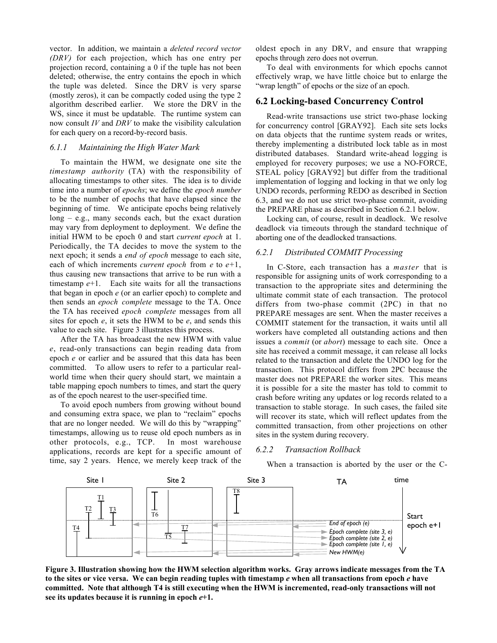vector. In addition, we maintain a *deleted record vector (DRV)* for each projection, which has one entry per projection record, containing a 0 if the tuple has not been deleted; otherwise, the entry contains the epoch in which the tuple was deleted. Since the DRV is very sparse (mostly zeros), it can be compactly coded using the type 2 algorithm described earlier. We store the DRV in the WS, since it must be updatable. The runtime system can now consult *IV* and *DRV* to make the visibility calculation for each query on a record-by-record basis.

#### *6.1.1 Maintaining the High Water Mark*

To maintain the HWM, we designate one site the *timestamp authority* (TA) with the responsibility of allocating timestamps to other sites. The idea is to divide time into a number of *epochs*; we define the *epoch number* to be the number of epochs that have elapsed since the beginning of time. We anticipate epochs being relatively long – e.g., many seconds each, but the exact duration may vary from deployment to deployment. We define the initial HWM to be epoch 0 and start *current epoch* at 1. Periodically, the TA decides to move the system to the next epoch; it sends a *end of epoch* message to each site, each of which increments *current epoch* from *e* to *e+*1, thus causing new transactions that arrive to be run with a timestamp  $e+1$ . Each site waits for all the transactions that began in epoch *e* (or an earlier epoch) to complete and then sends an *epoch complete* message to the TA. Once the TA has received *epoch complete* messages from all sites for epoch *e*, it sets the HWM to be *e*, and sends this value to each site. Figure 3 illustrates this process.

After the TA has broadcast the new HWM with value *e*, read-only transactions can begin reading data from epoch *e* or earlier and be assured that this data has been committed. To allow users to refer to a particular realworld time when their query should start, we maintain a table mapping epoch numbers to times, and start the query as of the epoch nearest to the user-specified time.

To avoid epoch numbers from growing without bound and consuming extra space, we plan to "reclaim" epochs that are no longer needed. We will do this by "wrapping" timestamps, allowing us to reuse old epoch numbers as in other protocols, e.g., TCP. In most warehouse applications, records are kept for a specific amount of time, say 2 years. Hence, we merely keep track of the

oldest epoch in any DRV, and ensure that wrapping epochs through zero does not overrun.

To deal with environments for which epochs cannot effectively wrap, we have little choice but to enlarge the "wrap length" of epochs or the size of an epoch.

### **6.2 Locking-based Concurrency Control**

Read-write transactions use strict two-phase locking for concurrency control [GRAY92]. Each site sets locks on data objects that the runtime system reads or writes, thereby implementing a distributed lock table as in most distributed databases. Standard write-ahead logging is employed for recovery purposes; we use a NO-FORCE, STEAL policy [GRAY92] but differ from the traditional implementation of logging and locking in that we only log UNDO records, performing REDO as described in Section 6.3, and we do not use strict two-phase commit, avoiding the PREPARE phase as described in Section 6.2.1 below.

Locking can, of course, result in deadlock. We resolve deadlock via timeouts through the standard technique of aborting one of the deadlocked transactions.

#### *6.2.1 Distributed COMMIT Processing*

In C-Store, each transaction has a *master* that is responsible for assigning units of work corresponding to a transaction to the appropriate sites and determining the ultimate commit state of each transaction. The protocol differs from two-phase commit (2PC) in that no PREPARE messages are sent. When the master receives a COMMIT statement for the transaction, it waits until all workers have completed all outstanding actions and then issues a *commit* (or *abort*) message to each site. Once a site has received a commit message, it can release all locks related to the transaction and delete the UNDO log for the transaction. This protocol differs from 2PC because the master does not PREPARE the worker sites. This means it is possible for a site the master has told to commit to crash before writing any updates or log records related to a transaction to stable storage. In such cases, the failed site will recover its state, which will reflect updates from the committed transaction, from other projections on other sites in the system during recovery.

#### *6.2.2 Transaction Rollback*

When a transaction is aborted by the user or the C-



**Figure 3. Illustration showing how the HWM selection algorithm works. Gray arrows indicate messages from the TA to the sites or vice versa. We can begin reading tuples with timestamp** *e* **when all transactions from epoch** *e* **have committed. Note that although T4 is still executing when the HWM is incremented, read-only transactions will not see its updates because it is running in epoch** *e***+1.**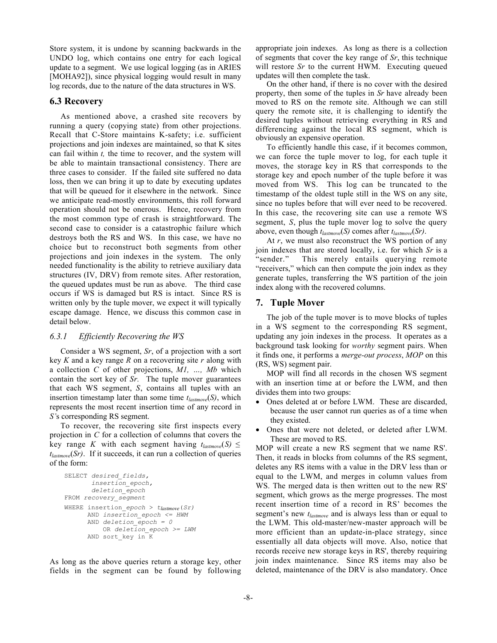Store system, it is undone by scanning backwards in the UNDO log, which contains one entry for each logical update to a segment. We use logical logging (as in ARIES [MOHA92]), since physical logging would result in many log records, due to the nature of the data structures in WS.

## **6.3 Recovery**

As mentioned above, a crashed site recovers by running a query (copying state) from other projections. Recall that C-Store maintains K-safety; i.e. sufficient projections and join indexes are maintained, so that K sites can fail within *t,* the time to recover, and the system will be able to maintain transactional consistency. There are three cases to consider. If the failed site suffered no data loss, then we can bring it up to date by executing updates that will be queued for it elsewhere in the network. Since we anticipate read-mostly environments, this roll forward operation should not be onerous. Hence, recovery from the most common type of crash is straightforward. The second case to consider is a catastrophic failure which destroys both the RS and WS. In this case, we have no choice but to reconstruct both segments from other projections and join indexes in the system. The only needed functionality is the ability to retrieve auxiliary data structures (IV, DRV) from remote sites. After restoration, the queued updates must be run as above. The third case occurs if WS is damaged but RS is intact. Since RS is written only by the tuple mover, we expect it will typically escape damage. Hence, we discuss this common case in detail below.

#### *6.3.1 Efficiently Recovering the WS*

Consider a WS segment, *Sr*, of a projection with a sort key *K* and a key range *R* on a recovering site *r* along with a collection *C* of other projections, *M1, …, Mb* which contain the sort key of *Sr.* The tuple mover guarantees that each WS segment, *S*, contains all tuples with an insertion timestamp later than some time *tlastmove*(*S)*, which represents the most recent insertion time of any record in *S'*s corresponding RS segment.

To recover, the recovering site first inspects every projection in *C* for a collection of columns that covers the key range *K* with each segment having  $t_{\text{lasimove}}(S) \leq$ *tlastmove*(*Sr)*. If it succeeds, it can run a collection of queries of the form:

```
SELECT desired_fields,
        insertion_epoch,
        deletion_epoch
FROM recovery_segment
WHERE insertion_epoch > tlastmove(Sr)
      AND insertion epoch \leq HWM
       AND deletion_epoch = 0
           OR deletion_epoch >= LWM
       AND sort_key in K
```
As long as the above queries return a storage key, other fields in the segment can be found by following appropriate join indexes. As long as there is a collection of segments that cover the key range of *Sr*, this technique will restore *Sr* to the current HWM. Executing queued updates will then complete the task.

On the other hand, if there is no cover with the desired property, then some of the tuples in *Sr* have already been moved to RS on the remote site. Although we can still query the remote site, it is challenging to identify the desired tuples without retrieving everything in RS and differencing against the local RS segment, which is obviously an expensive operation.

To efficiently handle this case, if it becomes common, we can force the tuple mover to log, for each tuple it moves, the storage key in RS that corresponds to the storage key and epoch number of the tuple before it was moved from WS. This log can be truncated to the timestamp of the oldest tuple still in the WS on any site, since no tuples before that will ever need to be recovered. In this case, the recovering site can use a remote WS segment, *S*, plus the tuple mover log to solve the query above, even though *tlastmove*(*S)* comes after *tlastmove*(*Sr)*.

At *r*, we must also reconstruct the WS portion of any join indexes that are stored locally, i.e. for which *Sr* is a "sender." This merely entails querying remote "receivers," which can then compute the join index as they generate tuples, transferring the WS partition of the join index along with the recovered columns.

## **7. Tuple Mover**

The job of the tuple mover is to move blocks of tuples in a WS segment to the corresponding RS segment, updating any join indexes in the process. It operates as a background task looking for *worthy* segment pairs. When it finds one, it performs a *merge-out process*, *MOP* on this (RS, WS) segment pair.

MOP will find all records in the chosen WS segment with an insertion time at or before the LWM, and then divides them into two groups:

- Ones deleted at or before LWM. These are discarded, because the user cannot run queries as of a time when they existed.
- Ones that were not deleted, or deleted after LWM. These are moved to RS.

MOP will create a new RS segment that we name RS'. Then, it reads in blocks from columns of the RS segment, deletes any RS items with a value in the DRV less than or equal to the LWM, and merges in column values from WS. The merged data is then written out to the new RS' segment, which grows as the merge progresses. The most recent insertion time of a record in RS' becomes the segment's new *tlastmove* and is always less than or equal to the LWM. This old-master/new-master approach will be more efficient than an update-in-place strategy, since essentially all data objects will move. Also, notice that records receive new storage keys in RS', thereby requiring join index maintenance. Since RS items may also be deleted, maintenance of the DRV is also mandatory. Once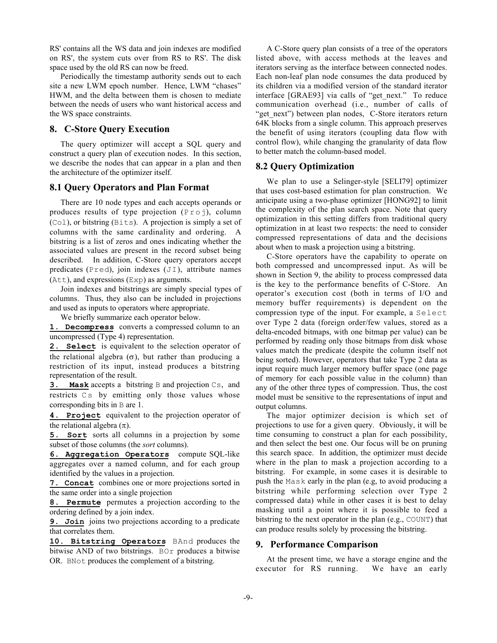RS' contains all the WS data and join indexes are modified on RS', the system cuts over from RS to RS'. The disk space used by the old RS can now be freed.

Periodically the timestamp authority sends out to each site a new LWM epoch number. Hence, LWM "chases" HWM, and the delta between them is chosen to mediate between the needs of users who want historical access and the WS space constraints.

# **8. C-Store Query Execution**

The query optimizer will accept a SQL query and construct a query plan of execution nodes. In this section, we describe the nodes that can appear in a plan and then the architecture of the optimizer itself.

## **8.1 Query Operators and Plan Format**

There are 10 node types and each accepts operands or produces results of type projection (Proj), column (Col), or bitstring (Bits). A projection is simply a set of columns with the same cardinality and ordering. A bitstring is a list of zeros and ones indicating whether the associated values are present in the record subset being described. In addition, C-Store query operators accept predicates (Pred), join indexes (JI), attribute names (Att), and expressions (Exp) as arguments.

Join indexes and bitstrings are simply special types of columns. Thus, they also can be included in projections and used as inputs to operators where appropriate.

We briefly summarize each operator below.

**1. Decompress** converts a compressed column to an uncompressed (Type 4) representation.

**2. Select** is equivalent to the selection operator of the relational algebra  $(\sigma)$ , but rather than producing a restriction of its input, instead produces a bitstring representation of the result.

**3. Mask** accepts a bitstring B and projection Cs, and restricts C<sub>s</sub> by emitting only those values whose corresponding bits in B are 1.

**4. Project** equivalent to the projection operator of the relational algebra  $(\pi)$ .

**5. Sort** sorts all columns in a projection by some subset of those columns (the *sort* columns).

**6. Aggregation Operators** compute SQL-like aggregates over a named column, and for each group identified by the values in a projection.

**7. Concat** combines one or more projections sorted in the same order into a single projection

**8. Permute** permutes a projection according to the ordering defined by a join index.

**9. Join** joins two projections according to a predicate that correlates them.

**10. Bitstring Operators** BAnd produces the bitwise AND of two bitstrings. BOr produces a bitwise OR. BNot produces the complement of a bitstring.

A C-Store query plan consists of a tree of the operators listed above, with access methods at the leaves and iterators serving as the interface between connected nodes. Each non-leaf plan node consumes the data produced by its children via a modified version of the standard iterator interface [GRAE93] via calls of "get next." To reduce communication overhead (i.e., number of calls of "get next") between plan nodes, C-Store iterators return 64K blocks from a single column. This approach preserves the benefit of using iterators (coupling data flow with control flow), while changing the granularity of data flow to better match the column-based model.

## **8.2 Query Optimization**

We plan to use a Selinger-style [SELI79] optimizer that uses cost-based estimation for plan construction. We anticipate using a two-phase optimizer [HONG92] to limit the complexity of the plan search space. Note that query optimization in this setting differs from traditional query optimization in at least two respects: the need to consider compressed representations of data and the decisions about when to mask a projection using a bitstring.

C-Store operators have the capability to operate on both compressed and uncompressed input. As will be shown in Section 9, the ability to process compressed data is the key to the performance benefits of C-Store. An operator's execution cost (both in terms of I/O and memory buffer requirements) is dependent on the compression type of the input. For example, a Select over Type 2 data (foreign order/few values, stored as a delta-encoded bitmaps, with one bitmap per value) can be performed by reading only those bitmaps from disk whose values match the predicate (despite the column itself not being sorted). However, operators that take Type 2 data as input require much larger memory buffer space (one page of memory for each possible value in the column) than any of the other three types of compression. Thus, the cost model must be sensitive to the representations of input and output columns.

The major optimizer decision is which set of projections to use for a given query. Obviously, it will be time consuming to construct a plan for each possibility, and then select the best one. Our focus will be on pruning this search space. In addition, the optimizer must decide where in the plan to mask a projection according to a bitstring. For example, in some cases it is desirable to push the Mask early in the plan (e.g, to avoid producing a bitstring while performing selection over Type 2 compressed data) while in other cases it is best to delay masking until a point where it is possible to feed a bitstring to the next operator in the plan (e.g., COUNT) that can produce results solely by processing the bitstring.

## **9. Performance Comparison**

At the present time, we have a storage engine and the executor for RS running. We have an early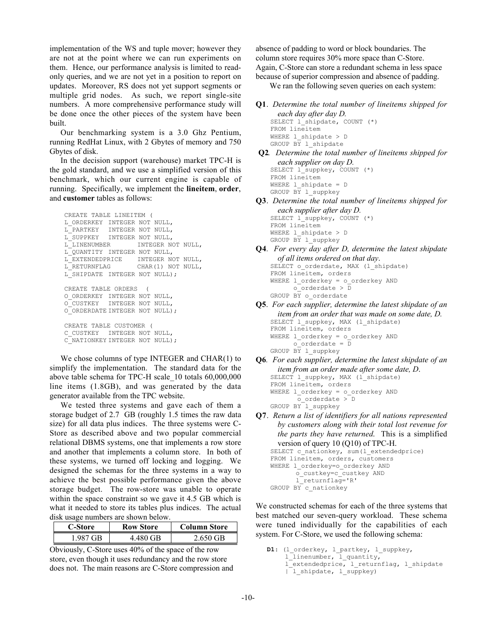implementation of the WS and tuple mover; however they are not at the point where we can run experiments on them. Hence, our performance analysis is limited to readonly queries, and we are not yet in a position to report on updates. Moreover, RS does not yet support segments or multiple grid nodes. As such, we report single-site numbers. A more comprehensive performance study will be done once the other pieces of the system have been built.

Our benchmarking system is a 3.0 Ghz Pentium, running RedHat Linux, with 2 Gbytes of memory and 750 Gbytes of disk.

In the decision support (warehouse) market TPC-H is the gold standard, and we use a simplified version of this benchmark, which our current engine is capable of running. Specifically, we implement the **lineitem**, **order**, and **customer** tables as follows:

```
CREATE TABLE LINEITEM (
L_ORDERKEY INTEGER NOT NULL,
L_PARTKEY INTEGER NOT NULL,
L_SUPPKEY INTEGER NOT NULL,<br>L_LINENUMBER INTEGER N
                    INTEGER NOT NULL,
L QUANTITY INTEGER NOT NULL,
L_EXTENDEDPRICE INTEGER NOT NULL,
                   CHAR(1) NOT NULL,
L_SHIPDATE INTEGER NOT NULL);
CREATE TABLE ORDERS (
O_ORDERKEY INTEGER NOT NULL,
O_CUSTKEY INTEGER NOT NULL,
O ORDERDATE INTEGER NOT NULL);
CREATE TABLE CUSTOMER (
C_CUSTKEY INTEGER NOT NULL,
C_NATIONKEY INTEGER NOT NULL);
```
We chose columns of type INTEGER and CHAR(1) to simplify the implementation. The standard data for the above table schema for TPC-H scale\_10 totals 60,000,000 line items (1.8GB), and was generated by the data generator available from the TPC website.

We tested three systems and gave each of them a storage budget of 2.7 GB (roughly 1.5 times the raw data size) for all data plus indices. The three systems were C-Store as described above and two popular commercial relational DBMS systems, one that implements a row store and another that implements a column store. In both of these systems, we turned off locking and logging. We designed the schemas for the three systems in a way to achieve the best possible performance given the above storage budget. The row-store was unable to operate within the space constraint so we gave it 4.5 GB which is what it needed to store its tables plus indices. The actual disk usage numbers are shown below.

| C-Store    | <b>Row Store</b> | <b>Column Store</b> |
|------------|------------------|---------------------|
| GR<br>-987 | 480 GB           | 2.650 GB            |

Obviously, C-Store uses 40% of the space of the row store, even though it uses redundancy and the row store does not. The main reasons are C-Store compression and absence of padding to word or block boundaries. The column store requires 30% more space than C-Store. Again, C-Store can store a redundant schema in less space because of superior compression and absence of padding.

We ran the following seven queries on each system:

```
Q1. Determine the total number of lineitems shipped for
      each day after day D.
    SELECT l shipdate, COUNT (*)
    FROM lineitem
    WHERE 1 shipdate > D
    GROUP BY l_shipdate
```
**Q2**. *Determine the total number of lineitems shipped for each supplier on day D.* SELECT l\_suppkey, COUNT (\*) FROM lineitem WHERE 1 shipdate = D

```
GROUP B\overline{Y} 1 suppkey
```
- **Q3**. *Determine the total number of lineitems shipped for each supplier after day D.*
	- SELECT 1 suppkey, COUNT (\*) FROM lineitem WHERE 1 shipdate > D

```
GROUP B\overline{Y} 1 suppkey
```
**Q4***. For every day after D, determine the latest shipdate of all items ordered on that day*. SELECT o orderdate, MAX (1 shipdate)

```
FROM lineitem, orders
WHERE 1 orderkey = o_orderkey AND
       \overline{o} orderdate > \overline{D}GROUP BY o_orderdate
```
**Q5**. *For each supplier, determine the latest shipdate of an item from an order that was made on some date, D.* SELECT l\_suppkey, MAX (l\_shipdate)

```
FROM lineitem, orders
WHERE 1 orderkey = o_orderkey AND
     o_orderdate = \overline{D}GROUP BY 1 suppkey
```
**Q6***. For each supplier, determine the latest shipdate of an item from an order made after some date, D*. SELECT 1 suppkey, MAX (1 shipdate) FROM lineitem, orders WHERE l\_orderkey = o\_orderkey AND

```
\circ\_orderedate > \bar{D}GROUP BY l_suppkey
```
**Q7**. *Return a list of identifiers for all nations represented by customers along with their total lost revenue for the parts they have returned*. This is a simplified version of query 10 (Q10) of TPC-H.

```
SELECT c_nationkey, sum(l_extendedprice)
FROM lineitem, orders, customers
WHERE 1 orderkey=o_orderkey AND
      o_custkey=c_custkey AND
      l_returnflag='R'
GROUP BY c_nationkey
```
We constructed schemas for each of the three systems that best matched our seven-query workload. These schema were tuned individually for the capabilities of each system. For C-Store, we used the following schema:

```
 D1: (l_orderkey, l_partkey, l_suppkey,
     l linenumber, l quantity,
     l<sup>-</sup>extendedprice, l returnflag, l shipdate
     | l_shipdate, l_suppkey)
```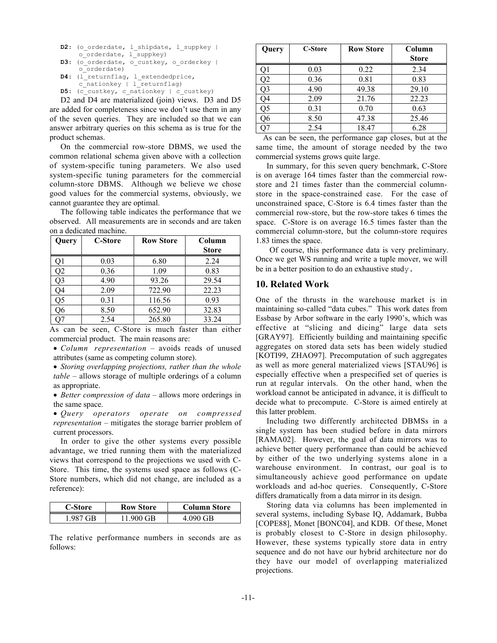```
D2: (o_orderdate, l_shipdate, l_suppkey |
     o orderdate, l suppkey)
D3: (o_orderdate, o_custkey, o_orderkey |
    o_orderdate)
D4: (l_returnflag, l extendedprice,
    c_nationkey | l_returnflag)
D5: (c_custkey, c_nationkey | c_custkey)
```
D<sub>2</sub> and D<sub>4</sub> are materialized (join) views. D<sub>3</sub> and D<sub>5</sub> are added for completeness since we don't use them in any of the seven queries. They are included so that we can answer arbitrary queries on this schema as is true for the product schemas.

On the commercial row-store DBMS, we used the common relational schema given above with a collection of system-specific tuning parameters. We also used system-specific tuning parameters for the commercial column-store DBMS. Although we believe we chose good values for the commercial systems, obviously, we cannot guarantee they are optimal.

The following table indicates the performance that we observed. All measurements are in seconds and are taken on a dedicated machine.

| Query | <b>C-Store</b> | <b>Row Store</b> | Column<br><b>Store</b> |
|-------|----------------|------------------|------------------------|
| Э1    | 0.03           | 6.80             | 2.24                   |
| 02    | 0.36           | 1.09             | 0.83                   |
| Q3    | 4.90           | 93.26            | 29.54                  |
| Q4    | 2.09           | 722.90           | 22.23                  |
| Q5    | 0.31           | 116.56           | 0.93                   |
| Э6    | 8.50           | 652.90           | 32.83                  |
|       | 2.54           | 265.80           | 33.24                  |

As can be seen, C-Store is much faster than either commercial product. The main reasons are:

• *Column representation* – avoids reads of unused attributes (same as competing column store).

• *Storing overlapping projections, rather than the whole table* – allows storage of multiple orderings of a column as appropriate.

• *Better compression of data* – allows more orderings in the same space.

• *Query operators operate on compressed representation* – mitigates the storage barrier problem of current processors.

In order to give the other systems every possible advantage, we tried running them with the materialized views that correspond to the projections we used with C-Store. This time, the systems used space as follows (C-Store numbers, which did not change, are included as a reference):

| <b>C-Store</b> | <b>Row Store</b> | Column Store |
|----------------|------------------|--------------|
| 987 GB         | 11 900 GB        | 4 090 GB     |

The relative performance numbers in seconds are as follows:

| Query | <b>C-Store</b> | <b>Row Store</b> | Column<br><b>Store</b> |
|-------|----------------|------------------|------------------------|
| 91    | 0.03           | 0.22             | 2.34                   |
| )2    | 0.36           | 0.81             | 0.83                   |
| Э3    | 4.90           | 49.38            | 29.10                  |
| )4    | 2.09           | 21.76            | 22.23                  |
| Ç5    | 0.31           | 0.70             | 0.63                   |
| 96    | 8.50           | 47.38            | 25.46                  |
|       | 2.54           | 18.47            | 6.28                   |

As can be seen, the performance gap closes, but at the same time, the amount of storage needed by the two commercial systems grows quite large.

In summary, for this seven query benchmark, C-Store is on average 164 times faster than the commercial rowstore and 21 times faster than the commercial columnstore in the space-constrained case. For the case of unconstrained space, C-Store is 6.4 times faster than the commercial row-store, but the row-store takes 6 times the space. C-Store is on average 16.5 times faster than the commercial column-store, but the column-store requires 1.83 times the space.

Of course, this performance data is very preliminary. Once we get WS running and write a tuple mover, we will be in a better position to do an exhaustive study.

#### **10. Related Work**

One of the thrusts in the warehouse market is in maintaining so-called "data cubes." This work dates from Essbase by Arbor software in the early 1990's, which was effective at "slicing and dicing" large data sets [GRAY97]. Efficiently building and maintaining specific aggregates on stored data sets has been widely studied [KOTI99, ZHAO97]. Precomputation of such aggregates as well as more general materialized views [STAU96] is especially effective when a prespecified set of queries is run at regular intervals. On the other hand, when the workload cannot be anticipated in advance, it is difficult to decide what to precompute. C-Store is aimed entirely at this latter problem.

Including two differently architected DBMSs in a single system has been studied before in data mirrors [RAMA02]. However, the goal of data mirrors was to achieve better query performance than could be achieved by either of the two underlying systems alone in a warehouse environment. In contrast, our goal is to simultaneously achieve good performance on update workloads and ad-hoc queries. Consequently, C-Store differs dramatically from a data mirror in its design.

Storing data via columns has been implemented in several systems, including Sybase IQ, Addamark, Bubba [COPE88], Monet [BONC04], and KDB. Of these, Monet is probably closest to C-Store in design philosophy. However, these systems typically store data in entry sequence and do not have our hybrid architecture nor do they have our model of overlapping materialized projections.